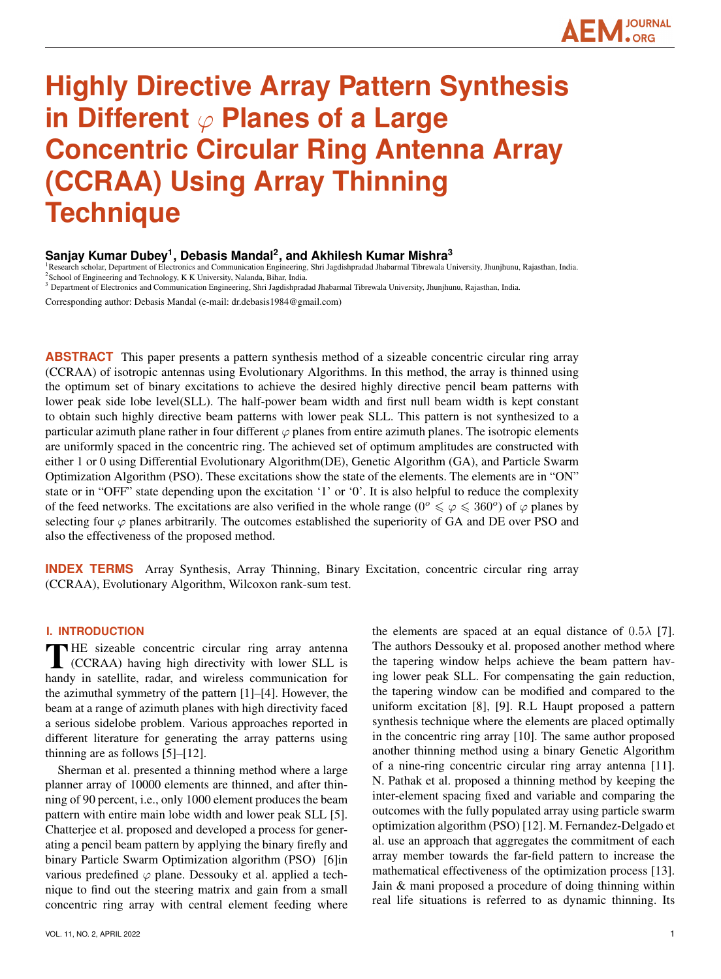# **JOURNAL**

# **Highly Directive Array Pattern Synthesis in Different** ϕ **Planes of a Large Concentric Circular Ring Antenna Array (CCRAA) Using Array Thinning Technique**

# **Sanjay Kumar Dubey<sup>1</sup> , Debasis Mandal<sup>2</sup> , and Akhilesh Kumar Mishra<sup>3</sup>**

<sup>1</sup>Research scholar, Department of Electronics and Communication Engineering, Shri Jagdishpradad Jhabarmal Tibrewala University, Jhunjhunu, Rajasthan, India. <sup>2</sup> School of Engineering and Technology, K K University, Nalanda, Bihar, India.

<sup>3</sup> Department of Electronics and Communication Engineering, Shri Jagdishpradad Jhabarmal Tibrewala University, Jhunjhunu, Rajasthan, India.

Corresponding author: Debasis Mandal (e-mail: dr.debasis1984@gmail.com)

**ABSTRACT** This paper presents a pattern synthesis method of a sizeable concentric circular ring array (CCRAA) of isotropic antennas using Evolutionary Algorithms. In this method, the array is thinned using the optimum set of binary excitations to achieve the desired highly directive pencil beam patterns with lower peak side lobe level(SLL). The half-power beam width and first null beam width is kept constant to obtain such highly directive beam patterns with lower peak SLL. This pattern is not synthesized to a particular azimuth plane rather in four different  $\varphi$  planes from entire azimuth planes. The isotropic elements are uniformly spaced in the concentric ring. The achieved set of optimum amplitudes are constructed with either 1 or 0 using Differential Evolutionary Algorithm(DE), Genetic Algorithm (GA), and Particle Swarm Optimization Algorithm (PSO). These excitations show the state of the elements. The elements are in "ON" state or in "OFF" state depending upon the excitation '1' or '0'. It is also helpful to reduce the complexity of the feed networks. The excitations are also verified in the whole range ( $0^{\circ} \le \varphi \le 360^{\circ}$ ) of  $\varphi$  planes by selecting four  $\varphi$  planes arbitrarily. The outcomes established the superiority of GA and DE over PSO and also the effectiveness of the proposed method.

**INDEX TERMS** Array Synthesis, Array Thinning, Binary Excitation, concentric circular ring array (CCRAA), Evolutionary Algorithm, Wilcoxon rank-sum test.

### **I. INTRODUCTION**

THE sizeable concentric circular ring array antenna<br>(CCRAA) having high directivity with lower SLL is<br>banda in actallity under and windows communication for (CCRAA) having high directivity with lower SLL is handy in satellite, radar, and wireless communication for the azimuthal symmetry of the pattern [1]–[4]. However, the beam at a range of azimuth planes with high directivity faced a serious sidelobe problem. Various approaches reported in different literature for generating the array patterns using thinning are as follows [5]–[12].

Sherman et al. presented a thinning method where a large planner array of 10000 elements are thinned, and after thinning of 90 percent, i.e., only 1000 element produces the beam pattern with entire main lobe width and lower peak SLL [5]. Chatterjee et al. proposed and developed a process for generating a pencil beam pattern by applying the binary firefly and binary Particle Swarm Optimization algorithm (PSO) [6]in various predefined  $\varphi$  plane. Dessouky et al. applied a technique to find out the steering matrix and gain from a small concentric ring array with central element feeding where

VOL. 11, NO. 2, APRIL 2022 2002

the elements are spaced at an equal distance of  $0.5\lambda$  [7]. The authors Dessouky et al. proposed another method where the tapering window helps achieve the beam pattern having lower peak SLL. For compensating the gain reduction, the tapering window can be modified and compared to the uniform excitation [8], [9]. R.L Haupt proposed a pattern synthesis technique where the elements are placed optimally in the concentric ring array [10]. The same author proposed another thinning method using a binary Genetic Algorithm of a nine-ring concentric circular ring array antenna [11]. N. Pathak et al. proposed a thinning method by keeping the inter-element spacing fixed and variable and comparing the outcomes with the fully populated array using particle swarm optimization algorithm (PSO) [12]. M. Fernandez-Delgado et al. use an approach that aggregates the commitment of each array member towards the far-field pattern to increase the mathematical effectiveness of the optimization process [13]. Jain & mani proposed a procedure of doing thinning within real life situations is referred to as dynamic thinning. Its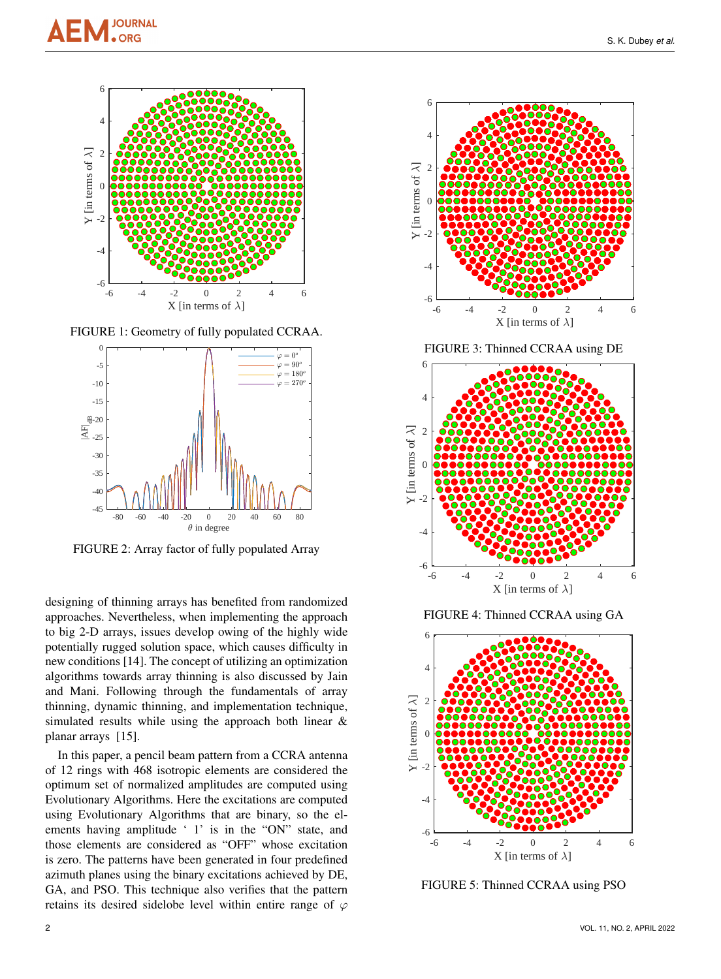

FIGURE 1: Geometry of fully populated CCRAA.



FIGURE 2: Array factor of fully populated Array

designing of thinning arrays has benefited from randomized approaches. Nevertheless, when implementing the approach to big 2-D arrays, issues develop owing of the highly wide potentially rugged solution space, which causes difficulty in new conditions [14]. The concept of utilizing an optimization algorithms towards array thinning is also discussed by Jain and Mani. Following through the fundamentals of array thinning, dynamic thinning, and implementation technique, simulated results while using the approach both linear & planar arrays [15].

In this paper, a pencil beam pattern from a CCRA antenna of 12 rings with 468 isotropic elements are considered the optimum set of normalized amplitudes are computed using Evolutionary Algorithms. Here the excitations are computed using Evolutionary Algorithms that are binary, so the elements having amplitude ' 1' is in the "ON" state, and those elements are considered as "OFF" whose excitation is zero. The patterns have been generated in four predefined azimuth planes using the binary excitations achieved by DE, GA, and PSO. This technique also verifies that the pattern retains its desired sidelobe level within entire range of  $\varphi$ 



FIGURE 3: Thinned CCRAA using DE



FIGURE 4: Thinned CCRAA using GA



FIGURE 5: Thinned CCRAA using PSO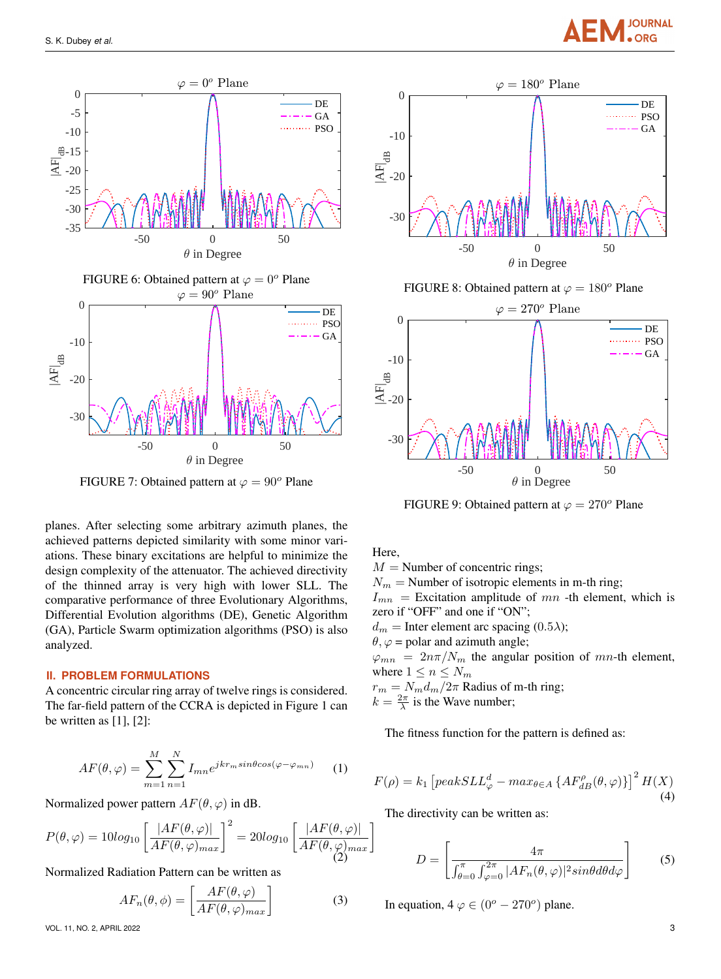

FIGURE 7: Obtained pattern at  $\varphi = 90^\circ$  Plane

planes. After selecting some arbitrary azimuth planes, the achieved patterns depicted similarity with some minor variations. These binary excitations are helpful to minimize the design complexity of the attenuator. The achieved directivity of the thinned array is very high with lower SLL. The comparative performance of three Evolutionary Algorithms, Differential Evolution algorithms (DE), Genetic Algorithm (GA), Particle Swarm optimization algorithms (PSO) is also analyzed.

#### **II. PROBLEM FORMULATIONS**

A concentric circular ring array of twelve rings is considered. The far-field pattern of the CCRA is depicted in Figure 1 can be written as  $[1]$ ,  $[2]$ :

$$
AF(\theta, \varphi) = \sum_{m=1}^{M} \sum_{n=1}^{N} I_{mn} e^{jkr_m sin\theta cos(\varphi - \varphi_{mn})}
$$
 (1)

Normalized power pattern  $AF(\theta, \varphi)$  in dB.

$$
P(\theta, \varphi) = 10\log_{10}\left[\frac{|AF(\theta, \varphi)|}{AF(\theta, \varphi)_{max}}\right]^2 = 20\log_{10}\left[\frac{|AF(\theta, \varphi)|}{AF(\theta, \varphi)_{max}}\right]
$$

Normalized Radiation Pattern can be written as

$$
AF_n(\theta, \phi) = \left[ \frac{AF(\theta, \varphi)}{AF(\theta, \varphi)_{max}} \right]
$$
 (3)

VOL. 11, NO. 2, APRIL 2022 3



**JOURNAL** 

FIGURE 9: Obtained pattern at  $\varphi = 270^\circ$  Plane

Here,

 $M =$ Number of concentric rings;  $N_m$  = Number of isotropic elements in m-th ring;  $I_{mn}$  = Excitation amplitude of mn -th element, which is zero if "OFF" and one if "ON";  $d_m$  = Inter element arc spacing (0.5 $\lambda$ );  $\theta$ ,  $\varphi$  = polar and azimuth angle;  $\varphi_{mn} = 2n\pi/N_m$  the angular position of mn-th element, where  $1 \leq n \leq N_m$  $r_m = N_m d_m / 2\pi$  Radius of m-th ring;  $k = \frac{2\pi}{\lambda}$  is the Wave number;

The fitness function for the pattern is defined as:

$$
F(\rho) = k_1 \left[ peakSLL_{\varphi}^d - max_{\theta \in A} \left\{ AF_{dB}^{\rho}(\theta, \varphi) \right\} \right]^2 H(X) \tag{4}
$$

The directivity can be written as:

$$
D = \left[ \frac{4\pi}{\int_{\theta=0}^{\pi} \int_{\varphi=0}^{2\pi} |AF_n(\theta,\varphi)|^2 sin\theta d\theta d\varphi} \right]
$$
(5)

In equation,  $4 \varphi \in (0^{\circ} - 270^{\circ})$  plane.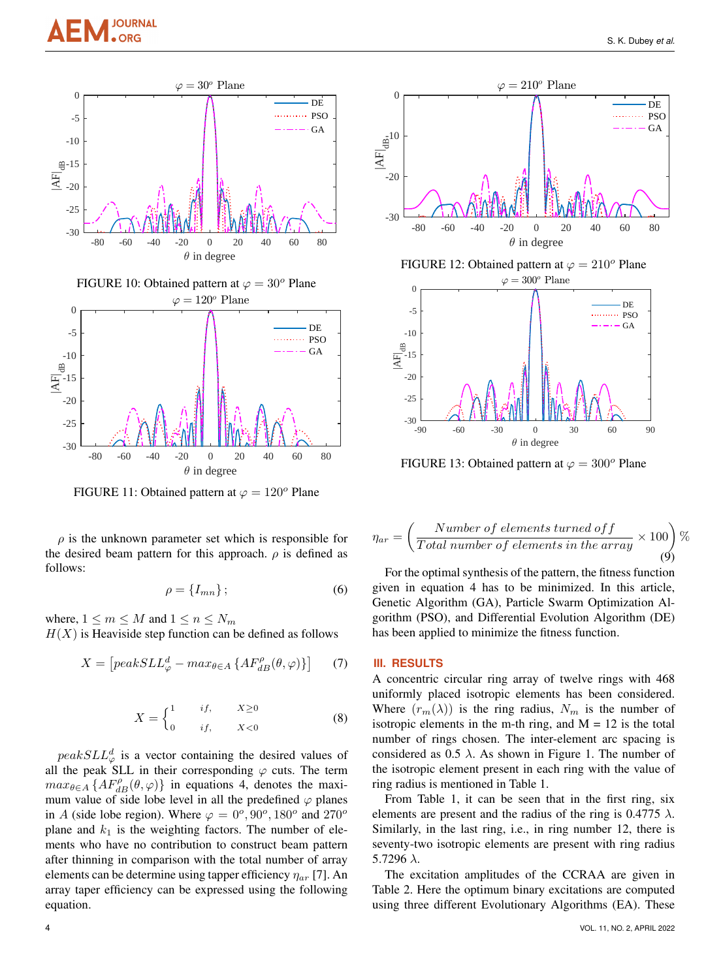



FIGURE 11: Obtained pattern at  $\varphi = 120^\circ$  Plane

 $\rho$  is the unknown parameter set which is responsible for the desired beam pattern for this approach.  $\rho$  is defined as follows:

$$
\rho = \{I_{mn}\};\tag{6}
$$

where,  $1 \le m \le M$  and  $1 \le n \le N_m$  $H(X)$  is Heaviside step function can be defined as follows

$$
X = \left[ peakSLL_{\varphi}^{d} - max_{\theta \in A} \left\{ AF_{dB}^{\rho}(\theta, \varphi) \right\} \right] \tag{7}
$$

$$
X = \begin{cases} 1 & \text{if,} \\ 0 & \text{if,} \end{cases} \quad X \ge 0 \tag{8}
$$

 $peak SLL^d_{\varphi}$  is a vector containing the desired values of all the peak SLL in their corresponding  $\varphi$  cuts. The term  $max_{\theta \in A} \{AF_{dB}^{\rho}(\theta, \varphi)\}\$  in equations 4, denotes the maximum value of side lobe level in all the predefined  $\varphi$  planes in A (side lobe region). Where  $\varphi = 0^\circ, 90^\circ, 180^\circ$  and  $270^\circ$ plane and  $k_1$  is the weighting factors. The number of elements who have no contribution to construct beam pattern after thinning in comparison with the total number of array elements can be determine using tapper efficiency  $\eta_{ar}$  [7]. An array taper efficiency can be expressed using the following equation.



FIGURE 13: Obtained pattern at  $\varphi = 300^\circ$  Plane

$$
\eta_{ar} = \left(\frac{Number\ of\ elements\ turned\ off}{Total\ number\ of\ elements\ in\ the\ array} \times 100\right)\%
$$
\n(9)

For the optimal synthesis of the pattern, the fitness function given in equation 4 has to be minimized. In this article, Genetic Algorithm (GA), Particle Swarm Optimization Algorithm (PSO), and Differential Evolution Algorithm (DE) has been applied to minimize the fitness function.

### **III. RESULTS**

A concentric circular ring array of twelve rings with 468 uniformly placed isotropic elements has been considered. Where  $(r_m(\lambda))$  is the ring radius,  $N_m$  is the number of isotropic elements in the m-th ring, and  $M = 12$  is the total number of rings chosen. The inter-element arc spacing is considered as  $0.5 \lambda$ . As shown in Figure 1. The number of the isotropic element present in each ring with the value of ring radius is mentioned in Table 1.

From Table 1, it can be seen that in the first ring, six elements are present and the radius of the ring is 0.4775  $\lambda$ . Similarly, in the last ring, i.e., in ring number 12, there is seventy-two isotropic elements are present with ring radius 5.7296  $λ$ .

The excitation amplitudes of the CCRAA are given in Table 2. Here the optimum binary excitations are computed using three different Evolutionary Algorithms (EA). These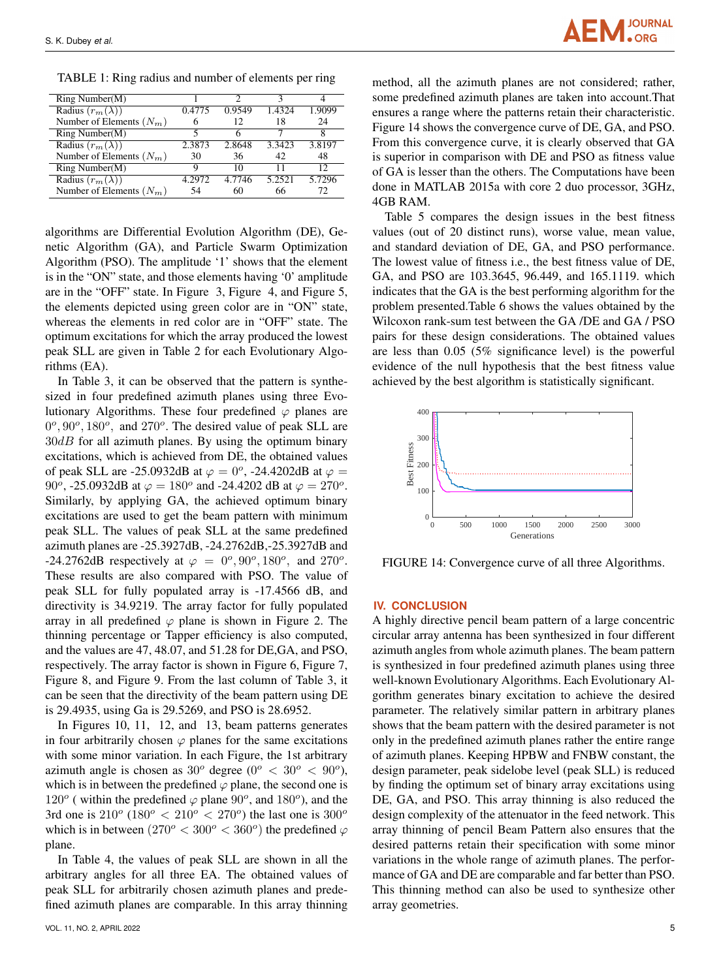

TABLE 1: Ring radius and number of elements per ring

| Ring Number(M)             |        | ∍      | 2      |        |
|----------------------------|--------|--------|--------|--------|
| Radius $(r_m(\lambda))$    | 0.4775 | 0.9549 | 1.4324 | 1.9099 |
| Number of Elements $(N_m)$ |        | 12     | 18     | 24     |
| Ring Number(M)             |        |        |        |        |
| Radius $(r_m(\lambda))$    | 2.3873 | 2.8648 | 3.3423 | 3.8197 |
| Number of Elements $(N_m)$ | 30     | 36     | 42     | 48     |
| Ring Number(M)             |        | 10     |        | 12     |
| Radius $(r_m(\lambda))$    | 4.2972 | 4.7746 | 5.2521 | 5.7296 |
| Number of Elements $(N_m)$ | 54     | 60     | 66     | 72.    |

algorithms are Differential Evolution Algorithm (DE), Genetic Algorithm (GA), and Particle Swarm Optimization Algorithm (PSO). The amplitude '1' shows that the element is in the "ON" state, and those elements having '0' amplitude are in the "OFF" state. In Figure 3, Figure 4, and Figure 5, the elements depicted using green color are in "ON" state, whereas the elements in red color are in "OFF" state. The optimum excitations for which the array produced the lowest peak SLL are given in Table 2 for each Evolutionary Algorithms (EA).

In Table 3, it can be observed that the pattern is synthesized in four predefined azimuth planes using three Evolutionary Algorithms. These four predefined  $\varphi$  planes are  $0^\circ$ ,  $90^\circ$ ,  $180^\circ$ , and  $270^\circ$ . The desired value of peak SLL are  $30dB$  for all azimuth planes. By using the optimum binary excitations, which is achieved from DE, the obtained values of peak SLL are -25.0932dB at  $\varphi = 0^\circ$ , -24.4202dB at  $\varphi =$ 90<sup>o</sup>, -25.0932dB at  $\varphi = 180^{\circ}$  and -24.4202 dB at  $\varphi = 270^{\circ}$ . Similarly, by applying GA, the achieved optimum binary excitations are used to get the beam pattern with minimum peak SLL. The values of peak SLL at the same predefined azimuth planes are -25.3927dB, -24.2762dB,-25.3927dB and -24.2762dB respectively at  $\varphi = 0^\circ, 90^\circ, 180^\circ$ , and  $270^\circ$ . These results are also compared with PSO. The value of peak SLL for fully populated array is -17.4566 dB, and directivity is 34.9219. The array factor for fully populated array in all predefined  $\varphi$  plane is shown in Figure 2. The thinning percentage or Tapper efficiency is also computed, and the values are 47, 48.07, and 51.28 for DE,GA, and PSO, respectively. The array factor is shown in Figure 6, Figure 7, Figure 8, and Figure 9. From the last column of Table 3, it can be seen that the directivity of the beam pattern using DE is 29.4935, using Ga is 29.5269, and PSO is 28.6952.

In Figures 10, 11, 12, and 13, beam patterns generates in four arbitrarily chosen  $\varphi$  planes for the same excitations with some minor variation. In each Figure, the 1st arbitrary azimuth angle is chosen as  $30^{\circ}$  degree  $(0^{\circ} < 30^{\circ} < 90^{\circ})$ , which is in between the predefined  $\varphi$  plane, the second one is 120<sup>o</sup> (within the predefined  $\varphi$  plane 90<sup>o</sup>, and 180<sup>o</sup>), and the 3rd one is  $210^{\circ}$  ( $180^{\circ}$  <  $210^{\circ}$  <  $270^{\circ}$ ) the last one is  $300^{\circ}$ which is in between  $(270^{\circ} < 300^{\circ} < 360^{\circ})$  the predefined  $\varphi$ plane.

In Table 4, the values of peak SLL are shown in all the arbitrary angles for all three EA. The obtained values of peak SLL for arbitrarily chosen azimuth planes and predefined azimuth planes are comparable. In this array thinning

method, all the azimuth planes are not considered; rather, some predefined azimuth planes are taken into account.That ensures a range where the patterns retain their characteristic. Figure 14 shows the convergence curve of DE, GA, and PSO. From this convergence curve, it is clearly observed that GA is superior in comparison with DE and PSO as fitness value of GA is lesser than the others. The Computations have been done in MATLAB 2015a with core 2 duo processor, 3GHz, 4GB RAM.

Table 5 compares the design issues in the best fitness values (out of 20 distinct runs), worse value, mean value, and standard deviation of DE, GA, and PSO performance. The lowest value of fitness i.e., the best fitness value of DE, GA, and PSO are 103.3645, 96.449, and 165.1119. which indicates that the GA is the best performing algorithm for the problem presented.Table 6 shows the values obtained by the Wilcoxon rank-sum test between the GA /DE and GA / PSO pairs for these design considerations. The obtained values are less than 0.05 (5% significance level) is the powerful evidence of the null hypothesis that the best fitness value achieved by the best algorithm is statistically significant.



FIGURE 14: Convergence curve of all three Algorithms.

#### **IV. CONCLUSION**

A highly directive pencil beam pattern of a large concentric circular array antenna has been synthesized in four different azimuth angles from whole azimuth planes. The beam pattern is synthesized in four predefined azimuth planes using three well-known Evolutionary Algorithms. Each Evolutionary Algorithm generates binary excitation to achieve the desired parameter. The relatively similar pattern in arbitrary planes shows that the beam pattern with the desired parameter is not only in the predefined azimuth planes rather the entire range of azimuth planes. Keeping HPBW and FNBW constant, the design parameter, peak sidelobe level (peak SLL) is reduced by finding the optimum set of binary array excitations using DE, GA, and PSO. This array thinning is also reduced the design complexity of the attenuator in the feed network. This array thinning of pencil Beam Pattern also ensures that the desired patterns retain their specification with some minor variations in the whole range of azimuth planes. The performance of GA and DE are comparable and far better than PSO. This thinning method can also be used to synthesize other array geometries.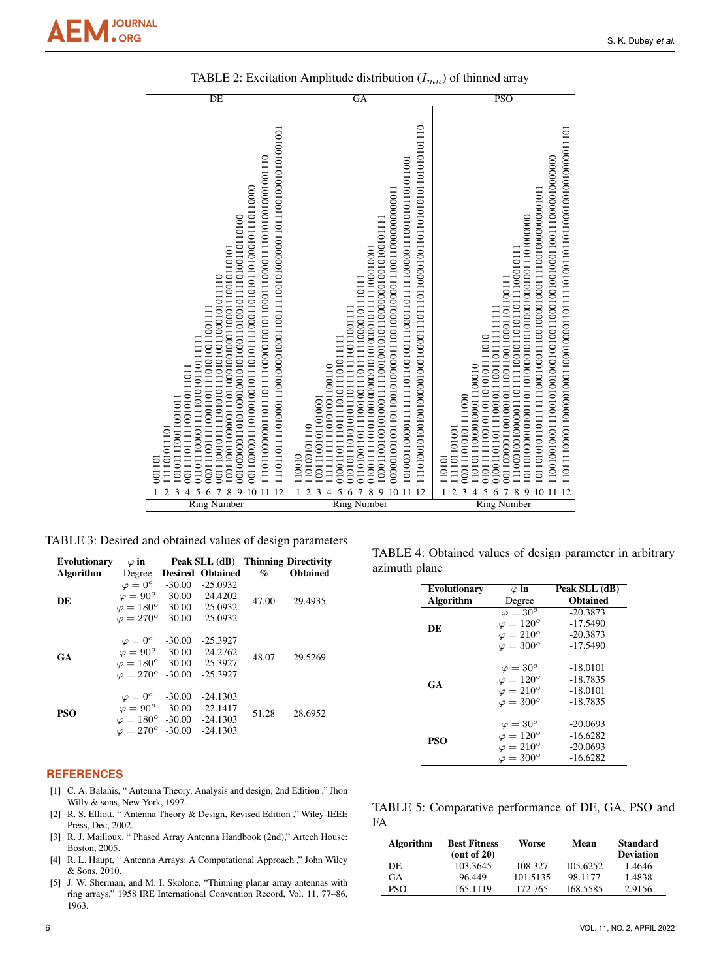| DE                                                                                                                                                                                                                                                                                                                                                              | $\overline{GA}$                                                                                                                                                                                                                                                                                                                                                                   | $\overline{\text{PSO}}$                                                                                                                                                                                                                                                                                                                                   |
|-----------------------------------------------------------------------------------------------------------------------------------------------------------------------------------------------------------------------------------------------------------------------------------------------------------------------------------------------------------------|-----------------------------------------------------------------------------------------------------------------------------------------------------------------------------------------------------------------------------------------------------------------------------------------------------------------------------------------------------------------------------------|-----------------------------------------------------------------------------------------------------------------------------------------------------------------------------------------------------------------------------------------------------------------------------------------------------------------------------------------------------------|
| 0001110011110001101111010100011001111<br>01101100001111101010110111111<br>0011110111111001010111011<br>101011110011001011<br>111101011101<br>001101<br>$\overline{3}$<br>$\overline{5}$<br>$\overline{2}$<br>$\overline{4}$<br>$\overline{Q}$<br>$\overline{1}$<br>$\overline{8}$<br>$\overline{10}$<br>$\overline{12}$<br>Number<br>$\overline{\mathrm{Ring}}$ | 01101001101110010011101111110000101110111<br>010101110101010111011111110011001111<br>01001101111011101011101011111<br>1111111111110101001100110<br>100111001011010001<br>110100101110<br>110010<br>$\overline{Q}$<br>$\overline{5}$<br>$\overline{8}$<br>$\overline{10}$<br>3<br>$\overline{4}$<br>$\overline{6}$<br>$\overline{12}$<br>$\overline{2}$<br>ī<br><b>Ring Number</b> | 001100000110010010111001100110001101100111<br>0101111110010110110101111010<br>110101110000100011100010<br>000111010101111000<br>111101101001<br>110101<br>$\overline{12}$<br>$\overline{3}$<br>$\overline{5}$<br>$\overline{2}$<br>$\overline{\bf 4}$<br>$\overline{6}$<br>$\overline{8}$<br>$\overline{9}$<br>$\overline{10}$<br>ī<br><b>Ring Number</b> |
|                                                                                                                                                                                                                                                                                                                                                                 |                                                                                                                                                                                                                                                                                                                                                                                   |                                                                                                                                                                                                                                                                                                                                                           |

TABLE 2: Excitation Amplitude distribution  $(I_{mn})$  of thinned array

TABLE 3: Desired and obtained values of design parameters

| <b>Evolutionary</b> | $\varphi$ in                            |                         |       | Peak SLL (dB) Thinning Directivity |  |
|---------------------|-----------------------------------------|-------------------------|-------|------------------------------------|--|
| Algorithm           | Degree                                  | <b>Desired Obtained</b> | $\%$  | <b>Obtained</b>                    |  |
|                     | $\varphi = 0^{\circ}$ -30.00            | $-25.0932$              |       |                                    |  |
| DE                  | $\varphi = 90^{\circ}$ -30.00           | -24.4202                | 47.00 | 29.4935                            |  |
|                     | $\varphi = 180^{\circ}$ -30.00 -25.0932 |                         |       |                                    |  |
|                     | $\varphi = 270^{\circ}$ -30.00 -25.0932 |                         |       |                                    |  |
|                     |                                         |                         |       |                                    |  |
|                     | $\varphi = 0^{\circ}$ -30.00            | $-25.3927$              |       |                                    |  |
| <b>GA</b>           | $\varphi = 90^{\circ}$ -30.00 -24.2762  |                         | 48.07 | 29.5269                            |  |
|                     | $\varphi = 180^{\circ}$ -30.00 -25.3927 |                         |       |                                    |  |
|                     | $\varphi = 270^{\circ}$ -30.00          | $-25.3927$              |       |                                    |  |
|                     |                                         |                         |       |                                    |  |
|                     | $\varphi = 0^{\circ}$ -30.00            | $-24.1303$              |       |                                    |  |
| PSO                 | $\varphi = 90^{\circ}$ -30.00           | $-22.1417$              | 51.28 | 28.6952                            |  |
|                     | $\varphi = 180^{\circ}$ -30.00          | -24.1303                |       |                                    |  |
|                     | $\varphi = 270^{\circ}$ -30.00          | $-24.1303$              |       |                                    |  |

## **REFERENCES**

- [1] C. A. Balanis, " Antenna Theory, Analysis and design, 2nd Edition ," Jhon Willy & sons, New York, 1997.
- [2] R. S. Elliott, " Antenna Theory & Design, Revised Edition ," Wiley-IEEE Press, Dec, 2002.
- [3] R. J. Mailloux, " Phased Array Antenna Handbook (2nd)," Artech House: Boston, 2005.
- [4] R. L. Haupt, " Antenna Arrays: A Computational Approach ," John Wiley & Sons, 2010.
- [5] J. W. Sherman, and M. I. Skolone, "Thinning planar array antennas with ring arrays," 1958 IRE International Convention Record, Vol. 11, 77–86, 1963.

S. K. Dubey *et al.*

| TABLE 4: Obtained values of design parameter in arbitrary |  |  |  |  |
|-----------------------------------------------------------|--|--|--|--|
| azimuth plane                                             |  |  |  |  |

| <b>Evolutionary</b> | $\varphi$ in      | Peak SLL (dB)   |
|---------------------|-------------------|-----------------|
| Algorithm           | Degree            | <b>Obtained</b> |
|                     | $\varphi = 30^o$  | $-20.3873$      |
| DE                  | $\varphi = 120^o$ | $-17.5490$      |
|                     | $\varphi = 210^o$ | $-20.3873$      |
|                     | $\varphi = 300^o$ | $-17.5490$      |
|                     | $\varphi = 30^o$  | $-18.0101$      |
|                     | $\varphi = 120^o$ | $-18.7835$      |
| GA                  | $\varphi = 210^o$ | $-18.0101$      |
|                     | $\varphi = 300^o$ | $-18.7835$      |
|                     | $\varphi = 30^o$  | $-20.0693$      |
|                     | $\varphi = 120^o$ | $-16.6282$      |
| PSO                 | $\varphi = 210^o$ | $-20.0693$      |
|                     | $\varphi = 300^o$ | $-16.6282$      |

|    | TABLE 5: Comparative performance of DE, GA, PSO and |  |  |  |
|----|-----------------------------------------------------|--|--|--|
| FA |                                                     |  |  |  |

| Algorithm  | <b>Best Fitness</b><br>(out of $20$ ) | Worse    | Mean     | <b>Standard</b><br><b>Deviation</b> |
|------------|---------------------------------------|----------|----------|-------------------------------------|
| DE         | 103.3645                              | 108.327  | 105.6252 | 1.4646                              |
| GА         | 96.449                                | 101.5135 | 98.1177  | 1.4838                              |
| <b>PSO</b> | 165.1119                              | 172.765  | 168.5585 | 2.9156                              |